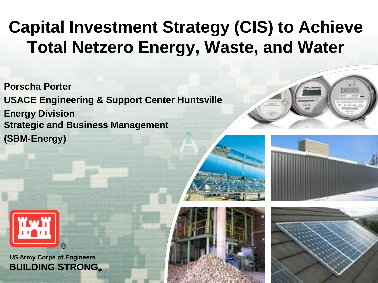## **Capital Investment Strategy (CIS) to Achieve Total Netzero Energy, Waste, and Water**

**Porscha Porter USACE Engineering & Support Center Huntsville Energy Division Strategic and Business Management (SBM-Energy)**







**US Army Corps of Engineers BUILDING STRONG®**



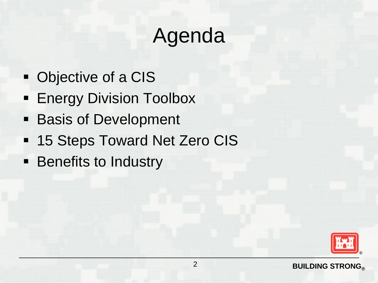# Agenda

- Objective of a CIS
- **Energy Division Toolbox**
- **Basis of Development**
- **15 Steps Toward Net Zero CIS**
- **EXECUTE: Benefits to Industry**

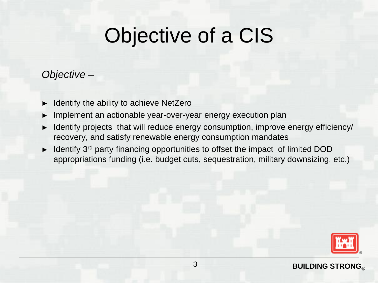## Objective of a CIS

### *Objective –*

- Identify the ability to achieve NetZero
- Implement an actionable year-over-year energy execution plan
- Identify projects that will reduce energy consumption, improve energy efficiency/ recovery, and satisfy renewable energy consumption mandates
- Identify 3<sup>rd</sup> party financing opportunities to offset the impact of limited DOD appropriations funding (i.e. budget cuts, sequestration, military downsizing, etc.)

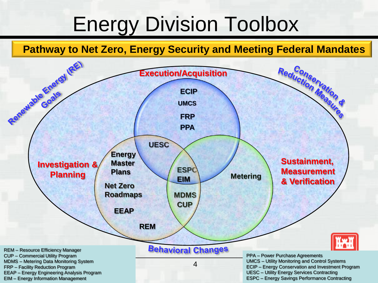## Energy Division Toolbox

### **Pathway to Net Zero, Energy Security and Meeting Federal Mandates**

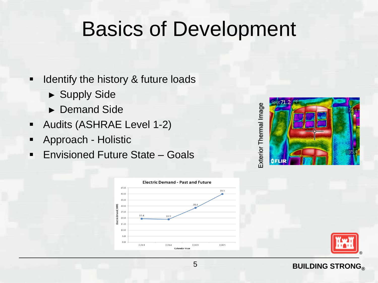## Basics of Development

- Identify the history & future loads
	- ► Supply Side
	- ► Demand Side
- Audits (ASHRAE Level 1-2)
- Approach Holistic
- Envisioned Future State Goals

Exterior Thermal Image Exterior Thermal Image







#### **BUILDING STRONG®**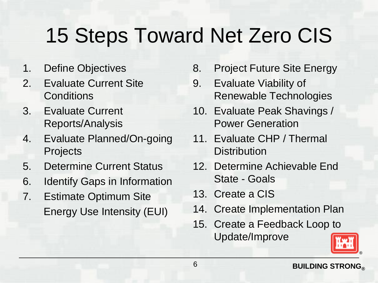# 15 Steps Toward Net Zero CIS

- 1. Define Objectives
- 2. Evaluate Current Site **Conditions**
- 3. Evaluate Current Reports/Analysis
- 4. Evaluate Planned/On-going Projects
- 5. Determine Current Status
- 6. Identify Gaps in Information
- 7. Estimate Optimum Site Energy Use Intensity (EUI)
- 8. Project Future Site Energy
- 9. Evaluate Viability of Renewable Technologies
- 10. Evaluate Peak Shavings / Power Generation
- 11. Evaluate CHP / Thermal **Distribution**
- 12. Determine Achievable End State - Goals
- 13. Create a CIS
- 14. Create Implementation Plan
- 15. Create a Feedback Loop to Update/Improve

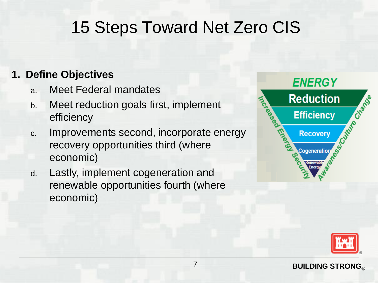### 15 Steps Toward Net Zero CIS

### **1. Define Objectives**

- a. Meet Federal mandates
- b. Meet reduction goals first, implement efficiency
- c. Improvements second, incorporate energy recovery opportunities third (where economic)
- d. Lastly, implement cogeneration and renewable opportunities fourth (where economic)



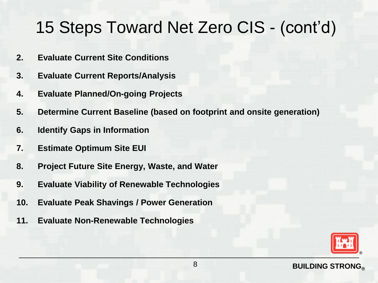- **2. Evaluate Current Site Conditions**
- **3. Evaluate Current Reports/Analysis**
- **4. Evaluate Planned/On-going Projects**
- **5. Determine Current Baseline (based on footprint and onsite generation)**
- **6. Identify Gaps in Information**
- **7. Estimate Optimum Site EUI**
- **8. Project Future Site Energy, Waste, and Water**
- **9. Evaluate Viability of Renewable Technologies**
- **10. Evaluate Peak Shavings / Power Generation**
- **11. Evaluate Non-Renewable Technologies**

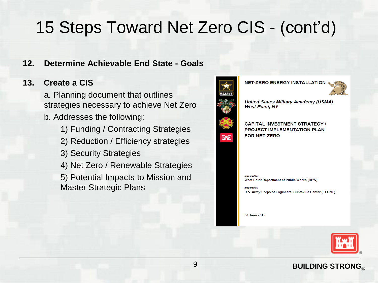#### **12. Determine Achievable End State - Goals**

#### **13. Create a CIS**

a. Planning document that outlines strategies necessary to achieve Net Zero b. Addresses the following:

- 1) Funding / Contracting Strategies
- 2) Reduction / Efficiency strategies
- 3) Security Strategies
- 4) Net Zero / Renewable Strategies

5) Potential Impacts to Mission and Master Strategic Plans





**United States Military Academy (USMA) West Point, NY** 

#### **CAPITAL INVESTMENT STRATEGY / PROJECT IMPLEMENTATION PLAN** FOR NET-ZERO

prepared for **West Point Department of Public Works (DPW)** 

U.S. Army Corps of Engineers, Huntsville Center (CEHNC)

30 June 2015



#### **BUILDING STRONG®**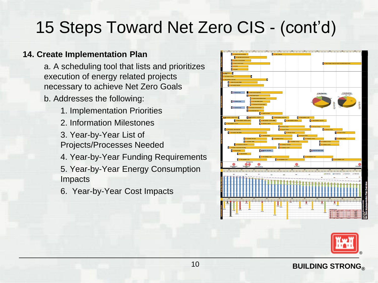#### **14. Create Implementation Plan**

a. A scheduling tool that lists and prioritizes execution of energy related projects necessary to achieve Net Zero Goals

b. Addresses the following:

- 1. Implementation Priorities
- 2. Information Milestones
- 3. Year-by-Year List of Projects/Processes Needed
- 4. Year-by-Year Funding Requirements

5. Year-by-Year Energy Consumption Impacts

6. Year-by-Year Cost Impacts





#### **BUILDING STRONG®**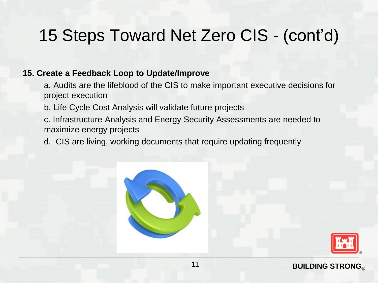#### **15. Create a Feedback Loop to Update/Improve**

- a. Audits are the lifeblood of the CIS to make important executive decisions for project execution
- b. Life Cycle Cost Analysis will validate future projects
- c. Infrastructure Analysis and Energy Security Assessments are needed to maximize energy projects
- d. CIS are living, working documents that require updating frequently



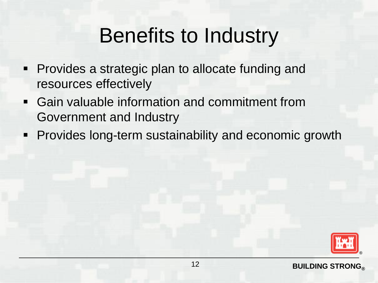## Benefits to Industry

- **Provides a strategic plan to allocate funding and** resources effectively
- Gain valuable information and commitment from Government and Industry
- **Provides long-term sustainability and economic growth**

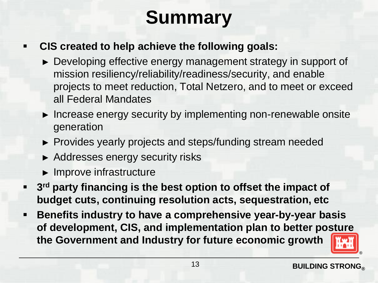## **Summary**

### **CIS created to help achieve the following goals:**

- ► Developing effective energy management strategy in support of mission resiliency/reliability/readiness/security, and enable projects to meet reduction, Total Netzero, and to meet or exceed all Federal Mandates
- ► Increase energy security by implementing non-renewable onsite generation
- ► Provides yearly projects and steps/funding stream needed
- ► Addresses energy security risks
- ► Improve infrastructure
- **3 rd party financing is the best option to offset the impact of budget cuts, continuing resolution acts, sequestration, etc**
- **Benefits industry to have a comprehensive year-by-year basis of development, CIS, and implementation plan to better posture the Government and Industry for future economic growth**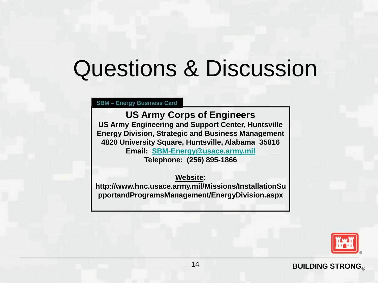# Questions & Discussion

**SBM – Energy Business Card**

**US Army Corps of Engineers US Army Engineering and Support Center, Huntsville Energy Division, Strategic and Business Management 4820 University Square, Huntsville, Alabama 35816 Email: [SBM-Energy@usace.army.mil](mailto:SBM-Energy@usace.army.mil) Telephone: (256) 895-1866**

**Website:** 

**http://www.hnc.usace.army.mil/Missions/InstallationSu pportandProgramsManagement/EnergyDivision.aspx**